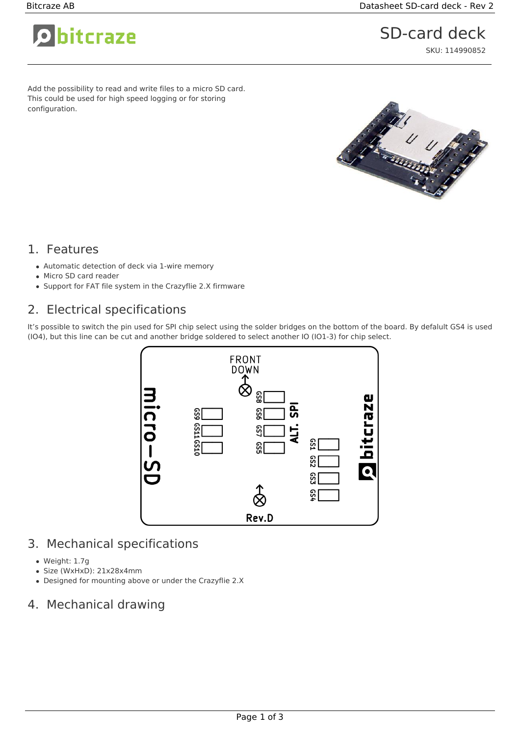bitcraze

# SD-card deck

SKU: 114990852

Add the possibility to read and write files to a micro SD card. This could be used for high speed logging or for storing configuration.



#### 1. Features

- Automatic detection of deck via 1-wire memory
- Micro SD card reader
- Support for FAT file system in the Crazyflie 2.X firmware

### 2. Electrical specifications

It's possible to switch the pin used for SPI chip select using the solder bridges on the bottom of the board. By defalult GS4 is used (IO4), but this line can be cut and another bridge soldered to select another IO (IO1-3) for chip select.



### 3. Mechanical specifications

- Weight: 1.7g
- Size (WxHxD): 21x28x4mm
- Designed for mounting above or under the Crazyflie 2.X

## 4. Mechanical drawing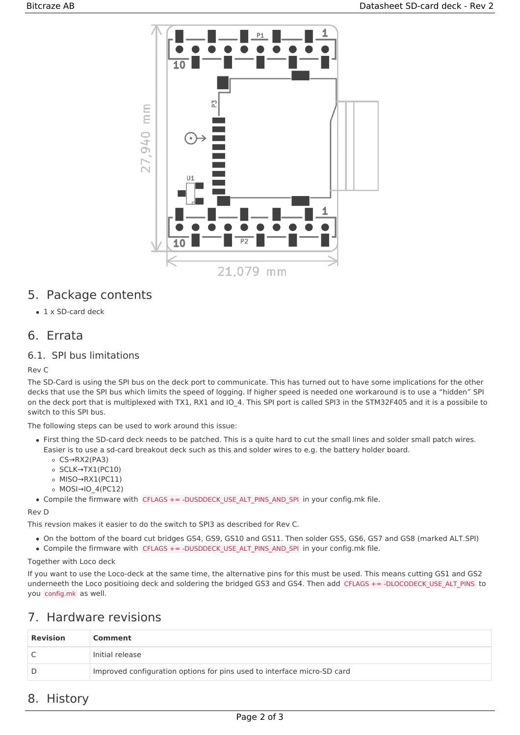

#### 5. Package contents

• 1 x SD-card deck

#### 6. Errata

#### 6.1. SPI bus limitations

Rev C

The SD-Card is using the SPI bus on the deck port to communicate. This has turned out to have some implications for the other decks that use the SPI bus which limits the speed of logging. If higher speed is needed one workaround is to use a "hidden" SPI on the deck port that is multiplexed with TX1, RX1 and IO 4. This SPI port is called SPI3 in the STM32F405 and it is a possibile to switch to this SPI bus.

The following steps can be used to work around this issue:

- First thing the SD-card deck needs to be patched. This is a quite hard to cut the small lines and solder small patch wires. Easier is to use a sd-card breakout deck such as this and solder wires to e.g. the battery holder board.
	- CS→RX2(PA3)
	- SCLK→TX1(PC10)
	- MISO→RX1(PC11)
	- MOSI→IO\_4(PC12)
- Compile the firmware with CFLAGS += -DUSDDECK\_USE\_ALT\_PINS\_AND\_SPI in your config.mk file.

Rev D

This revsion makes it easier to do the switch to SPI3 as described for Rev C.

- On the bottom of the board cut bridges GS4, GS9, GS10 and GS11. Then solder GS5, GS6, GS7 and GS8 (marked ALT.SPI)
- Compile the firmware with CFLAGS += -DUSDDECK USE ALT PINS AND SPI in your config.mk file.

Together with Loco deck

If you want to use the Loco-deck at the same time, the alternative pins for this must be used. This means cutting GS1 and GS2 underneeth the Loco positioing deck and soldering the bridged GS3 and GS4. Then add CFLAGS += -DLOCODECK\_USE\_ALT\_PINS to you config.mk as well.

### 7. Hardware revisions

| <b>Revision</b> | Comment                                                                 |
|-----------------|-------------------------------------------------------------------------|
|                 | Initial release                                                         |
|                 | Improved configuration options for pins used to interface micro-SD card |

#### 8. History